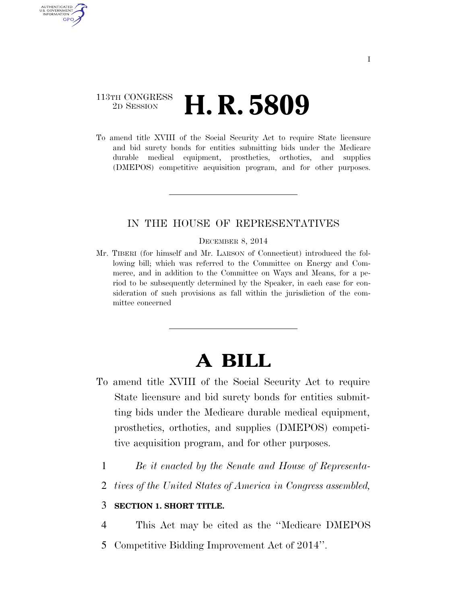### 113TH CONGRESS <sup>2D SESSION</sup> **H. R. 5809**

AUTHENTICATED U.S. GOVERNMENT **GPO** 

> To amend title XVIII of the Social Security Act to require State licensure and bid surety bonds for entities submitting bids under the Medicare durable medical equipment, prosthetics, orthotics, and supplies (DMEPOS) competitive acquisition program, and for other purposes.

### IN THE HOUSE OF REPRESENTATIVES

#### DECEMBER 8, 2014

Mr. TIBERI (for himself and Mr. LARSON of Connecticut) introduced the following bill; which was referred to the Committee on Energy and Commerce, and in addition to the Committee on Ways and Means, for a period to be subsequently determined by the Speaker, in each case for consideration of such provisions as fall within the jurisdiction of the committee concerned

# **A BILL**

- To amend title XVIII of the Social Security Act to require State licensure and bid surety bonds for entities submitting bids under the Medicare durable medical equipment, prosthetics, orthotics, and supplies (DMEPOS) competitive acquisition program, and for other purposes.
	- 1 *Be it enacted by the Senate and House of Representa-*
	- 2 *tives of the United States of America in Congress assembled,*

#### 3 **SECTION 1. SHORT TITLE.**

4 This Act may be cited as the ''Medicare DMEPOS

5 Competitive Bidding Improvement Act of 2014''.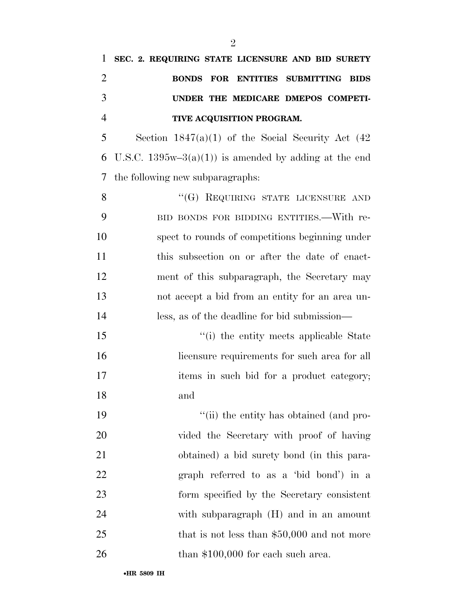## **SEC. 2. REQUIRING STATE LICENSURE AND BID SURETY BONDS FOR ENTITIES SUBMITTING BIDS UNDER THE MEDICARE DMEPOS COMPETI-TIVE ACQUISITION PROGRAM.**

 Section 1847(a)(1) of the Social Security Act (42 6 U.S.C. 1395w–3(a)(1)) is amended by adding at the end the following new subparagraphs:

8 "(G) REQUIRING STATE LICENSURE AND BID BONDS FOR BIDDING ENTITIES.—With re- spect to rounds of competitions beginning under 11 this subsection on or after the date of enact- ment of this subparagraph, the Secretary may not accept a bid from an entity for an area un-less, as of the deadline for bid submission—

15 ''(i) the entity meets applicable State 16 licensure requirements for such area for all 17 items in such bid for a product category; and

19 ''(ii) the entity has obtained (and pro- vided the Secretary with proof of having obtained) a bid surety bond (in this para- graph referred to as a 'bid bond') in a form specified by the Secretary consistent with subparagraph (H) and in an amount 25 that is not less than \$50,000 and not more 26 than \$100,000 for each such area.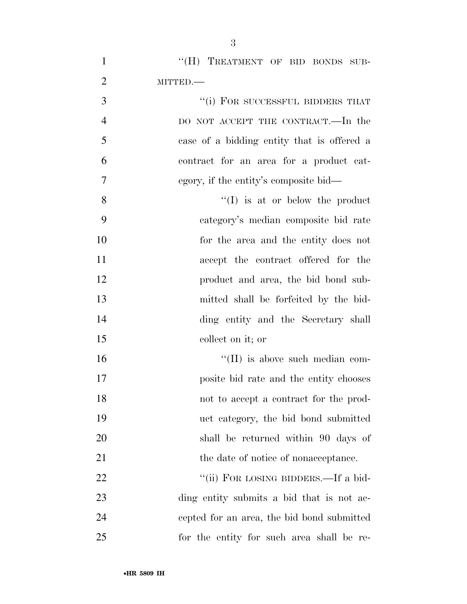1 "(H) TREATMENT OF BID BONDS SUB-MITTED.—

 ''(i) FOR SUCCESSFUL BIDDERS THAT DO NOT ACCEPT THE CONTRACT.—In the case of a bidding entity that is offered a contract for an area for a product cat-egory, if the entity's composite bid—

8 ''(I) is at or below the product category's median composite bid rate for the area and the entity does not accept the contract offered for the product and area, the bid bond sub- mitted shall be forfeited by the bid- ding entity and the Secretary shall collect on it; or

 $\text{``(II)}$  is above such median com- posite bid rate and the entity chooses not to accept a contract for the prod- uct category, the bid bond submitted shall be returned within 90 days of 21 the date of notice of nonacceptance.

22 ""(ii) FOR LOSING BIDDERS.—If a bid- ding entity submits a bid that is not ac- cepted for an area, the bid bond submitted for the entity for such area shall be re-